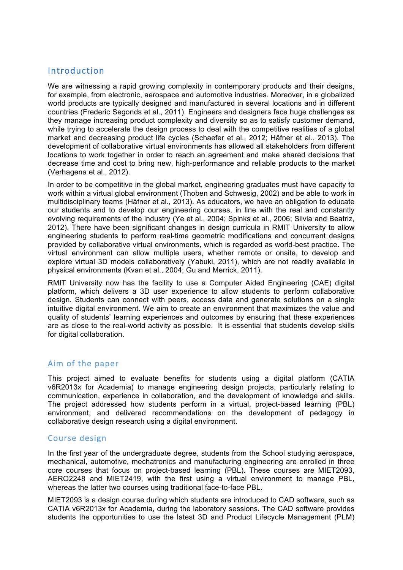## Introduction

We are witnessing a rapid growing complexity in contemporary products and their designs, for example, from electronic, aerospace and automotive industries. Moreover, in a globalized world products are typically designed and manufactured in several locations and in different countries (Frederic Segonds et al., 2011). Engineers and designers face huge challenges as they manage increasing product complexity and diversity so as to satisfy customer demand, while trying to accelerate the design process to deal with the competitive realities of a global market and decreasing product life cycles (Schaefer et al., 2012; Häfner et al., 2013). The development of collaborative virtual environments has allowed all stakeholders from different locations to work together in order to reach an agreement and make shared decisions that decrease time and cost to bring new, high-performance and reliable products to the market (Verhagena et al., 2012).

In order to be competitive in the global market, engineering graduates must have capacity to work within a virtual global environment (Thoben and Schwesig, 2002) and be able to work in multidisciplinary teams (Häfner et al., 2013). As educators, we have an obligation to educate our students and to develop our engineering courses, in line with the real and constantly evolving requirements of the industry (Ye et al., 2004; Spinks et al., 2006; Silvia and Beatriz, 2012). There have been significant changes in design curricula in RMIT University to allow engineering students to perform real-time geometric modifications and concurrent designs provided by collaborative virtual environments, which is regarded as world-best practice. The virtual environment can allow multiple users, whether remote or onsite, to develop and explore virtual 3D models collaboratively (Yabuki, 2011), which are not readily available in physical environments (Kvan et al., 2004; Gu and Merrick, 2011).

RMIT University now has the facility to use a Computer Aided Engineering (CAE) digital platform, which delivers a 3D user experience to allow students to perform collaborative design. Students can connect with peers, access data and generate solutions on a single intuitive digital environment. We aim to create an environment that maximizes the value and quality of students' learning experiences and outcomes by ensuring that these experiences are as close to the real-world activity as possible. It is essential that students develop skills for digital collaboration.

## Aim of the paper

This project aimed to evaluate benefits for students using a digital platform (CATIA v6R2013x for Academia) to manage engineering design projects, particularly relating to communication, experience in collaboration, and the development of knowledge and skills. The project addressed how students perform in a virtual, project-based learning (PBL) environment, and delivered recommendations on the development of pedagogy in collaborative design research using a digital environment.

### Course design

In the first year of the undergraduate degree, students from the School studying aerospace, mechanical, automotive, mechatronics and manufacturing engineering are enrolled in three core courses that focus on project-based learning (PBL). These courses are MIET2093, AERO2248 and MIET2419, with the first using a virtual environment to manage PBL, whereas the latter two courses using traditional face-to-face PBL.

MIET2093 is a design course during which students are introduced to CAD software, such as CATIA v6R2013x for Academia, during the laboratory sessions. The CAD software provides students the opportunities to use the latest 3D and Product Lifecycle Management (PLM)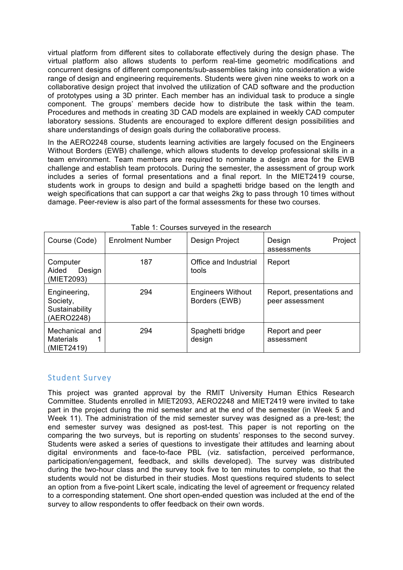virtual platform from different sites to collaborate effectively during the design phase. The virtual platform also allows students to perform real-time geometric modifications and concurrent designs of different components/sub-assemblies taking into consideration a wide range of design and engineering requirements. Students were given nine weeks to work on a collaborative design project that involved the utilization of CAD software and the production of prototypes using a 3D printer. Each member has an individual task to produce a single component. The groups' members decide how to distribute the task within the team. Procedures and methods in creating 3D CAD models are explained in weekly CAD computer laboratory sessions. Students are encouraged to explore different design possibilities and share understandings of design goals during the collaborative process.

In the AERO2248 course, students learning activities are largely focused on the Engineers Without Borders (EWB) challenge, which allows students to develop professional skills in a team environment. Team members are required to nominate a design area for the EWB challenge and establish team protocols. During the semester, the assessment of group work includes a series of formal presentations and a final report. In the MIET2419 course, students work in groups to design and build a spaghetti bridge based on the length and weigh specifications that can support a car that weighs 2kg to pass through 10 times without damage. Peer-review is also part of the formal assessments for these two courses.

| Course (Code)                                            | <b>Enrolment Number</b> | Design Project                            | Project<br>Design<br>assessments             |
|----------------------------------------------------------|-------------------------|-------------------------------------------|----------------------------------------------|
| Computer<br>Design<br>Aided<br>(MIET2093)                | 187                     | Office and Industrial<br>tools            | Report                                       |
| Engineering,<br>Society,<br>Sustainability<br>(AERO2248) | 294                     | <b>Engineers Without</b><br>Borders (EWB) | Report, presentations and<br>peer assessment |
| Mechanical and<br><b>Materials</b><br>(MIET2419)         | 294                     | Spaghetti bridge<br>design                | Report and peer<br>assessment                |

Table 1: Courses surveyed in the research

### Student Survey

This project was granted approval by the RMIT University Human Ethics Research Committee. Students enrolled in MIET2093, AERO2248 and MIET2419 were invited to take part in the project during the mid semester and at the end of the semester (in Week 5 and Week 11). The administration of the mid semester survey was designed as a pre-test; the end semester survey was designed as post-test. This paper is not reporting on the comparing the two surveys, but is reporting on students' responses to the second survey. Students were asked a series of questions to investigate their attitudes and learning about digital environments and face-to-face PBL (viz. satisfaction, perceived performance, participation/engagement, feedback, and skills developed). The survey was distributed during the two-hour class and the survey took five to ten minutes to complete, so that the students would not be disturbed in their studies. Most questions required students to select an option from a five-point Likert scale, indicating the level of agreement or frequency related to a corresponding statement. One short open-ended question was included at the end of the survey to allow respondents to offer feedback on their own words.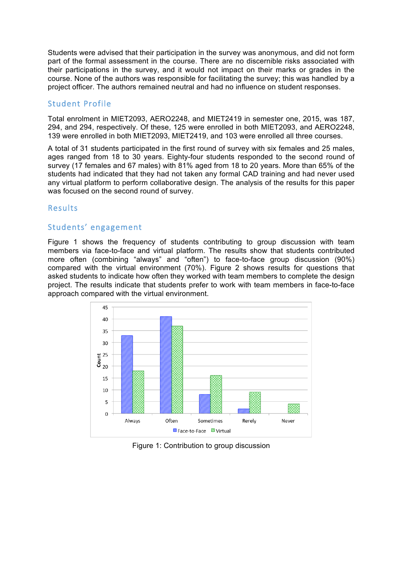Students were advised that their participation in the survey was anonymous, and did not form part of the formal assessment in the course. There are no discernible risks associated with their participations in the survey, and it would not impact on their marks or grades in the course. None of the authors was responsible for facilitating the survey; this was handled by a project officer. The authors remained neutral and had no influence on student responses.

### Student Profile

Total enrolment in MIET2093, AERO2248, and MIET2419 in semester one, 2015, was 187, 294, and 294, respectively. Of these, 125 were enrolled in both MIET2093, and AERO2248, 139 were enrolled in both MIET2093, MIET2419, and 103 were enrolled all three courses.

A total of 31 students participated in the first round of survey with six females and 25 males, ages ranged from 18 to 30 years. Eighty-four students responded to the second round of survey (17 females and 67 males) with 81% aged from 18 to 20 years. More than 65% of the students had indicated that they had not taken any formal CAD training and had never used any virtual platform to perform collaborative design. The analysis of the results for this paper was focused on the second round of survey.

### Results

### Students' engagement

Figure 1 shows the frequency of students contributing to group discussion with team members via face-to-face and virtual platform. The results show that students contributed more often (combining "always" and "often") to face-to-face group discussion (90%) compared with the virtual environment (70%). Figure 2 shows results for questions that asked students to indicate how often they worked with team members to complete the design project. The results indicate that students prefer to work with team members in face-to-face approach compared with the virtual environment.



Figure 1: Contribution to group discussion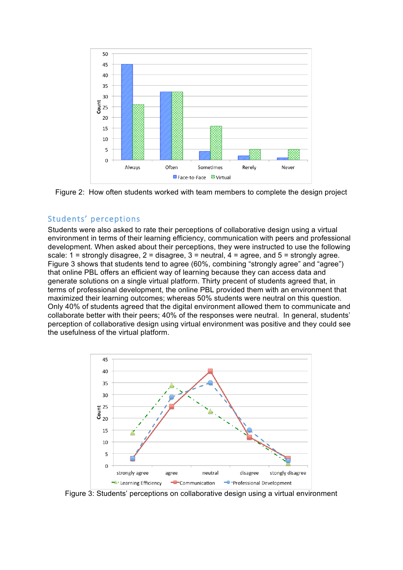



# Students' perceptions

Students were also asked to rate their perceptions of collaborative design using a virtual environment in terms of their learning efficiency, communication with peers and professional development. When asked about their perceptions, they were instructed to use the following scale:  $1 =$  strongly disagree,  $2 =$  disagree,  $3 =$  neutral,  $4 =$  agree, and  $5 =$  strongly agree. Figure 3 shows that students tend to agree (60%, combining "strongly agree" and "agree") that online PBL offers an efficient way of learning because they can access data and generate solutions on a single virtual platform. Thirty precent of students agreed that, in terms of professional development, the online PBL provided them with an environment that maximized their learning outcomes; whereas 50% students were neutral on this question. Only 40% of students agreed that the digital environment allowed them to communicate and collaborate better with their peers; 40% of the responses were neutral. In general, students' perception of collaborative design using virtual environment was positive and they could see the usefulness of the virtual platform.



Figure 3: Students' perceptions on collaborative design using a virtual environment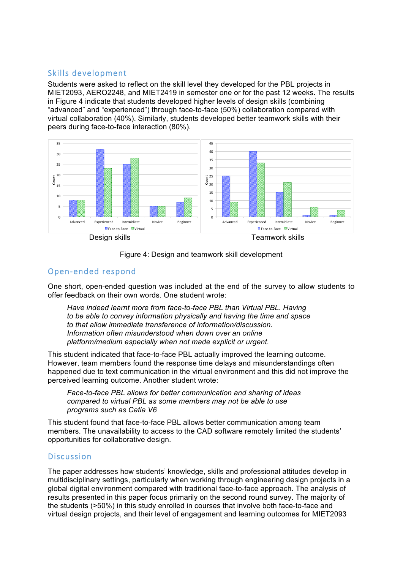# Skills development

Students were asked to reflect on the skill level they developed for the PBL projects in MIET2093, AERO2248, and MIET2419 in semester one or for the past 12 weeks. The results in Figure 4 indicate that students developed higher levels of design skills (combining "advanced" and "experienced") through face-to-face (50%) collaboration compared with virtual collaboration (40%). Similarly, students developed better teamwork skills with their peers during face-to-face interaction (80%).





## Open-ended respond

One short, open-ended question was included at the end of the survey to allow students to offer feedback on their own words. One student wrote:

*Have indeed learnt more from face-to-face PBL than Virtual PBL. Having to be able to convey information physically and having the time and space to that allow immediate transference of information/discussion. Information often misunderstood when down over an online platform/medium especially when not made explicit or urgent.*

This student indicated that face-to-face PBL actually improved the learning outcome. However, team members found the response time delays and misunderstandings often happened due to text communication in the virtual environment and this did not improve the perceived learning outcome. Another student wrote:

*Face-to-face PBL allows for better communication and sharing of ideas compared to virtual PBL as some members may not be able to use programs such as Catia V6*

This student found that face-to-face PBL allows better communication among team members. The unavailability to access to the CAD software remotely limited the students' opportunities for collaborative design.

## Discussion

The paper addresses how students' knowledge, skills and professional attitudes develop in multidisciplinary settings, particularly when working through engineering design projects in a global digital environment compared with traditional face-to-face approach. The analysis of results presented in this paper focus primarily on the second round survey. The majority of the students (>50%) in this study enrolled in courses that involve both face-to-face and virtual design projects, and their level of engagement and learning outcomes for MIET2093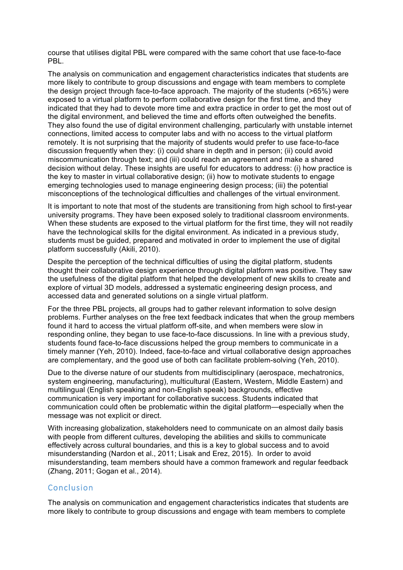course that utilises digital PBL were compared with the same cohort that use face-to-face PBL.

The analysis on communication and engagement characteristics indicates that students are more likely to contribute to group discussions and engage with team members to complete the design project through face-to-face approach. The majority of the students (>65%) were exposed to a virtual platform to perform collaborative design for the first time, and they indicated that they had to devote more time and extra practice in order to get the most out of the digital environment, and believed the time and efforts often outweighed the benefits. They also found the use of digital environment challenging, particularly with unstable internet connections, limited access to computer labs and with no access to the virtual platform remotely. It is not surprising that the majority of students would prefer to use face-to-face discussion frequently when they: (i) could share in depth and in person; (ii) could avoid miscommunication through text; and (iii) could reach an agreement and make a shared decision without delay. These insights are useful for educators to address: (i) how practice is the key to master in virtual collaborative design; (ii) how to motivate students to engage emerging technologies used to manage engineering design process; (iii) the potential misconceptions of the technological difficulties and challenges of the virtual environment.

It is important to note that most of the students are transitioning from high school to first-year university programs. They have been exposed solely to traditional classroom environments. When these students are exposed to the virtual platform for the first time, they will not readily have the technological skills for the digital environment. As indicated in a previous study, students must be guided, prepared and motivated in order to implement the use of digital platform successfully (Akili, 2010).

Despite the perception of the technical difficulties of using the digital platform, students thought their collaborative design experience through digital platform was positive. They saw the usefulness of the digital platform that helped the development of new skills to create and explore of virtual 3D models, addressed a systematic engineering design process, and accessed data and generated solutions on a single virtual platform.

For the three PBL projects, all groups had to gather relevant information to solve design problems. Further analyses on the free text feedback indicates that when the group members found it hard to access the virtual platform off-site, and when members were slow in responding online, they began to use face-to-face discussions. In line with a previous study, students found face-to-face discussions helped the group members to communicate in a timely manner (Yeh, 2010). Indeed, face-to-face and virtual collaborative design approaches are complementary, and the good use of both can facilitate problem-solving (Yeh, 2010).

Due to the diverse nature of our students from multidisciplinary (aerospace, mechatronics, system engineering, manufacturing), multicultural (Eastern, Western, Middle Eastern) and multilingual (English speaking and non-English speak) backgrounds, effective communication is very important for collaborative success. Students indicated that communication could often be problematic within the digital platform—especially when the message was not explicit or direct.

With increasing globalization, stakeholders need to communicate on an almost daily basis with people from different cultures, developing the abilities and skills to communicate effectively across cultural boundaries, and this is a key to global success and to avoid misunderstanding (Nardon et al., 2011; Lisak and Erez, 2015). In order to avoid misunderstanding, team members should have a common framework and regular feedback (Zhang, 2011; Gogan et al., 2014).

### Conclusion

The analysis on communication and engagement characteristics indicates that students are more likely to contribute to group discussions and engage with team members to complete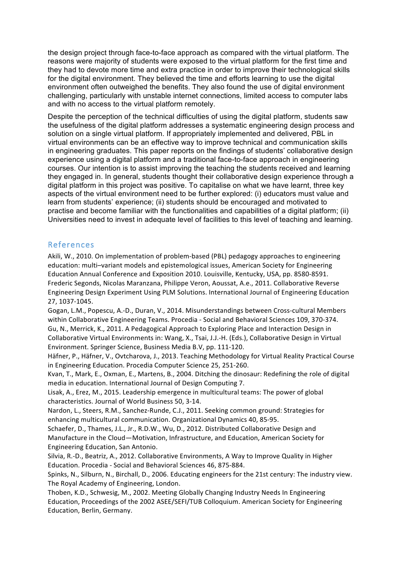the design project through face-to-face approach as compared with the virtual platform. The reasons were majority of students were exposed to the virtual platform for the first time and they had to devote more time and extra practice in order to improve their technological skills for the digital environment. They believed the time and efforts learning to use the digital environment often outweighed the benefits. They also found the use of digital environment challenging, particularly with unstable internet connections, limited access to computer labs and with no access to the virtual platform remotely.

Despite the perception of the technical difficulties of using the digital platform, students saw the usefulness of the digital platform addresses a systematic engineering design process and solution on a single virtual platform. If appropriately implemented and delivered, PBL in virtual environments can be an effective way to improve technical and communication skills in engineering graduates. This paper reports on the findings of students' collaborative design experience using a digital platform and a traditional face-to-face approach in engineering courses. Our intention is to assist improving the teaching the students received and learning they engaged in. In general, students thought their collaborative design experience through a digital platform in this project was positive. To capitalise on what we have learnt, three key aspects of the virtual environment need to be further explored: (i) educators must value and learn from students' experience; (ii) students should be encouraged and motivated to practise and become familiar with the functionalities and capabilities of a digital platform; (ii) Universities need to invest in adequate level of facilities to this level of teaching and learning.

### References

Akili, W., 2010. On implementation of problem-based (PBL) pedagogy approaches to engineering education: multi-variant models and epistemological issues, American Society for Engineering Education Annual Conference and Exposition 2010. Louisville, Kentucky, USA, pp. 8580-8591. Frederic Segonds, Nicolas Maranzana, Philippe Veron, Aoussat, A.e., 2011. Collaborative Reverse Engineering Design Experiment Using PLM Solutions. International Journal of Engineering Education 27, 1037-1045.

Gogan, L.M., Popescu, A.-D., Duran, V., 2014. Misunderstandings between Cross-cultural Members within Collaborative Engineering Teams. Procedia - Social and Behavioral Sciences 109, 370-374. Gu, N., Merrick, K., 2011. A Pedagogical Approach to Exploring Place and Interaction Design in Collaborative Virtual Environments in: Wang, X., Tsai, J.J.-H. (Eds.), Collaborative Design in Virtual Environment. Springer Science, Business Media B.V, pp. 111-120.

Häfner, P., Häfner, V., Ovtcharova, J., 2013. Teaching Methodology for Virtual Reality Practical Course in Engineering Education. Procedia Computer Science 25, 251-260.

Kvan, T., Mark, E., Oxman, E., Martens, B., 2004. Ditching the dinosaur: Redefining the role of digital media in education. International Journal of Design Computing 7.

Lisak, A., Erez, M., 2015. Leadership emergence in multicultural teams: The power of global characteristics. Journal of World Business 50, 3-14.

Nardon, L., Steers, R.M., Sanchez-Runde, C.J., 2011. Seeking common ground: Strategies for enhancing multicultural communication. Organizational Dynamics 40, 85-95.

Schaefer, D., Thames, J.L., Jr., R.D.W., Wu, D., 2012. Distributed Collaborative Design and Manufacture in the Cloud—Motivation, Infrastructure, and Education, American Society for Engineering Education, San Antonio.

Silvia, R.-D., Beatriz, A., 2012. Collaborative Environments, A Way to Improve Quality in Higher Education. Procedia - Social and Behavioral Sciences 46, 875-884.

Spinks, N., Silburn, N., Birchall, D., 2006. Educating engineers for the 21st century: The industry view. The Royal Academy of Engineering, London.

Thoben, K.D., Schwesig, M., 2002. Meeting Globally Changing Industry Needs In Engineering Education, Proceedings of the 2002 ASEE/SEFI/TUB Colloquium. American Society for Engineering Education, Berlin, Germany.